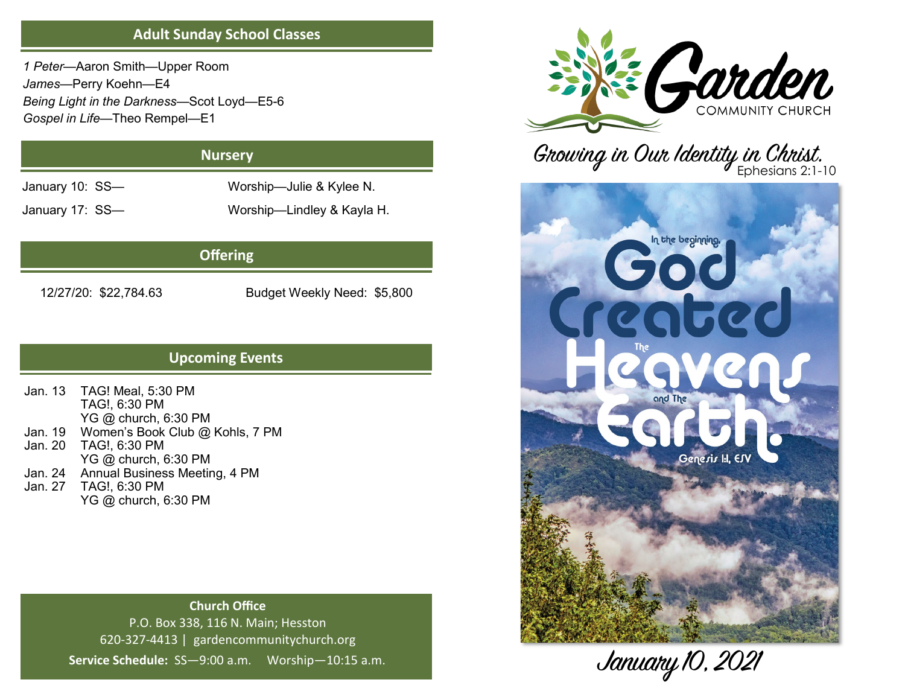## **Adult Sunday School Classes**

*1 Peter*—Aaron Smith—Upper Room *James*—Perry Koehn—E4 *Being Light in the Darkness*—Scot Loyd—E5-6 *Gospel in Life*—Theo Rempel—E1

## **Nursery**

January 10: SS— Worship—Julie & Kylee N.

January 17: SS— Worship—Lindley & Kayla H.

# **Offering**

12/27/20: \$22,784.63 Budget Weekly Need: \$5,800

# **Upcoming Events**

Jan. 13 TAG! Meal, 5:30 PM TAG!, 6:30 PM YG @ church, 6:30 PM Jan. 19 Women's Book Club @ Kohls, 7 PM Jan. 20 TAG!, 6:30 PM YG @ church, 6:30 PM Jan. 24 Annual Business Meeting, 4 PM Jan. 27 TAG!, 6:30 PM YG @ church, 6:30 PM

## **Church Office** P.O. Box 338, 116 N. Main; Hesston 620-327-4413 | gardencommunitychurch.org **Service Schedule:** SS—9:00 a.m. Worship—10:15 a.m.



Growing in Our Identity in Christ.



January 10, 2021